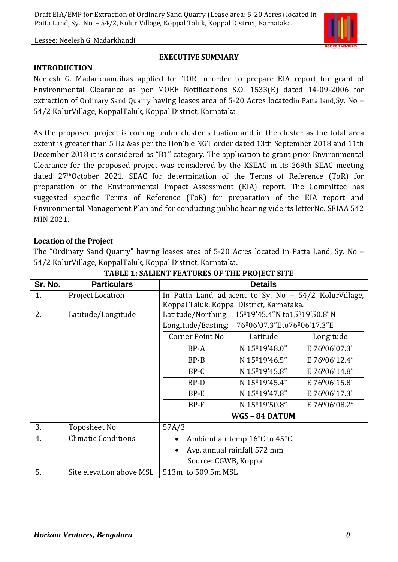Lessee: Neelesh G. Madarkhandi

# **EXECUTIVE SUMMARY**

#### **INTRODUCTION**

Neelesh G. Madarkhandihas applied for TOR in order to prepare EIA report for grant of Environmental Clearance as per MOEF Notifications S.O. 1533(E) dated 14-09-2006 for extraction of Ordinary Sand Quarry having leases area of 5-20 Acres locatedin Patta land,Sy. No – 54/2 KolurVillage, KoppalTaluk, Koppal District, Karnataka

As the proposed project is coming under cluster situation and in the cluster as the total area extent is greater than 5 Ha &as per the Hon'ble NGT order dated 13th September 2018 and 11th December 2018 it is considered as "B1" category. The application to grant prior Environmental Clearance for the proposed project was considered by the KSEAC in its 269th SEAC meeting dated 27thOctober 2021. SEAC for determination of the Terms of Reference (ToR) for preparation of the Environmental Impact Assessment (EIA) report. The Committee has suggested specific Terms of Reference (ToR) for preparation of the EIA report and Environmental Management Plan and for conducting public hearing vide its letterNo. SEIAA 542 MIN 2021.

#### **Location of the Project**

The "Ordinary Sand Quarry" having leases area of 5-20 Acres located in Patta Land, Sy. No – 54/2 KolurVillage, KoppalTaluk, Koppal District, Karnataka.

| Sr. No. | <b>Particulars</b>         | <b>Details</b>                                        |               |               |
|---------|----------------------------|-------------------------------------------------------|---------------|---------------|
| 1.      | Project Location           | In Patta Land adjacent to Sy. No - 54/2 KolurVillage, |               |               |
|         |                            | Koppal Taluk, Koppal District, Karnataka.             |               |               |
| 2.      | Latitude/Longitude         | Latitude/Northing: 15019'45.4"N to15019'50.8"N        |               |               |
|         |                            | 76º06'07.3"Eto76º06'17.3"E<br>Longitude/Easting:      |               |               |
|         |                            | Corner Point No                                       | Latitude      | Longitude     |
|         |                            | $BP-A$                                                | N 15019'48.0" | E 76006'07.3" |
|         |                            | $BP-B$                                                | N 15019'46.5" | E 76006'12.4" |
|         |                            | $BP-C$                                                | N 15019'45.8" | E 76006'14.8" |
|         |                            | $BP-D$                                                | N 15019'45.4" | E 76006'15.8" |
|         |                            | $BP-E$                                                | N 15019'47.8" | E 76006'17.3" |
|         |                            | BP-F                                                  | N 15019'50.8" | E 76006'08.2" |
|         |                            | WGS-84 DATUM                                          |               |               |
| 3.      | Toposheet No               | 57A/3                                                 |               |               |
| 4.      | <b>Climatic Conditions</b> | Ambient air temp 16°C to 45°C<br>$\bullet$            |               |               |
|         |                            | Avg. annual rainfall 572 mm<br>$\bullet$              |               |               |
|         |                            | Source: CGWB, Koppal                                  |               |               |
| 5.      | Site elevation above MSL   | 513m to 509.5m MSL                                    |               |               |

**TABLE 1: SALIENT FEATURES OF THE PROJECT SITE**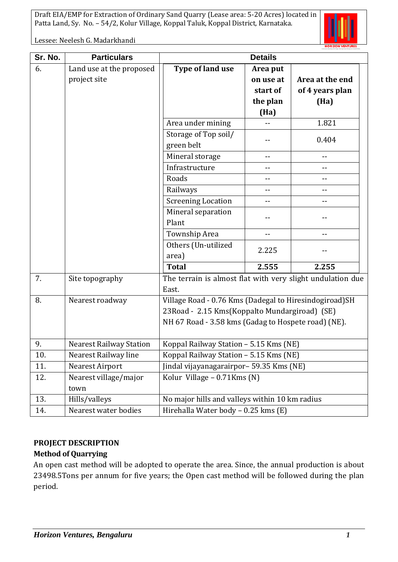

Lessee: Neelesh G. Madarkhandi

| Sr. No. | <b>Particulars</b>             | <b>Details</b>                                             |           |                 |
|---------|--------------------------------|------------------------------------------------------------|-----------|-----------------|
| 6.      | Land use at the proposed       | Type of land use                                           | Area put  |                 |
|         | project site                   |                                                            | on use at | Area at the end |
|         |                                |                                                            | start of  | of 4 years plan |
|         |                                |                                                            | the plan  | (Ha)            |
|         |                                |                                                            | (Ha)      |                 |
|         |                                | Area under mining                                          |           | 1.821           |
|         |                                | Storage of Top soil/                                       |           | 0.404           |
|         |                                | green belt                                                 |           |                 |
|         |                                | Mineral storage                                            | --        | $-$             |
|         |                                | Infrastructure                                             |           |                 |
|         |                                | Roads                                                      |           | $-$             |
|         |                                | Railways                                                   |           | $- -$           |
|         |                                | <b>Screening Location</b>                                  | --        | ۰-              |
|         |                                | Mineral separation                                         |           |                 |
|         |                                | Plant                                                      |           |                 |
|         |                                | Township Area                                              | $-$       | $- -$           |
|         |                                | Others (Un-utilized                                        | 2.225     |                 |
|         |                                | area)                                                      |           |                 |
|         |                                | <b>Total</b>                                               | 2.555     | 2.255           |
| 7.      | Site topography                | The terrain is almost flat with very slight undulation due |           |                 |
|         |                                | East.                                                      |           |                 |
| 8.      | Nearest roadway                | Village Road - 0.76 Kms (Dadegal to Hiresindogiroad)SH     |           |                 |
|         |                                | 23Road - 2.15 Kms(Koppalto Mundargiroad) (SE)              |           |                 |
|         |                                | NH 67 Road - 3.58 kms (Gadag to Hospete road) (NE).        |           |                 |
|         |                                |                                                            |           |                 |
| 9.      | <b>Nearest Railway Station</b> | Koppal Railway Station - 5.15 Kms (NE)                     |           |                 |
| 10.     | Nearest Railway line           | Koppal Railway Station - 5.15 Kms (NE)                     |           |                 |
| 11.     | <b>Nearest Airport</b>         | Jindal vijayanagarairpor- 59.35 Kms (NE)                   |           |                 |
| 12.     | Nearest village/major          | Kolur Village - 0.71Kms (N)                                |           |                 |
|         | town                           |                                                            |           |                 |
| 13.     | Hills/valleys                  | No major hills and valleys within 10 km radius             |           |                 |
| 14.     | Nearest water bodies           | Hirehalla Water body - 0.25 kms (E)                        |           |                 |

# **PROJECT DESCRIPTION Method of Quarrying**

An open cast method will be adopted to operate the area. Since, the annual production is about 23498.5Tons per annum for five years; the Open cast method will be followed during the plan period.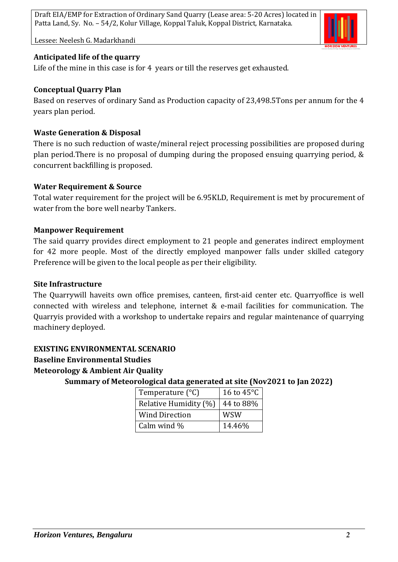

Lessee: Neelesh G. Madarkhandi

# **Anticipated life of the quarry**

Life of the mine in this case is for 4 years or till the reserves get exhausted.

# **Conceptual Quarry Plan**

Based on reserves of ordinary Sand as Production capacity of 23,498.5Tons per annum for the 4 years plan period.

# **Waste Generation & Disposal**

There is no such reduction of waste/mineral reject processing possibilities are proposed during plan period.There is no proposal of dumping during the proposed ensuing quarrying period, & concurrent backfilling is proposed.

# **Water Requirement & Source**

Total water requirement for the project will be 6.95KLD, Requirement is met by procurement of water from the bore well nearby Tankers.

# **Manpower Requirement**

The said quarry provides direct employment to 21 people and generates indirect employment for 42 more people. Most of the directly employed manpower falls under skilled category Preference will be given to the local people as per their eligibility.

#### **Site Infrastructure**

The Quarrywill haveits own office premises, canteen, first-aid center etc. Quarryoffice is well connected with wireless and telephone, internet & e-mail facilities for communication. The Quarryis provided with a workshop to undertake repairs and regular maintenance of quarrying machinery deployed.

# **EXISTING ENVIRONMENTAL SCENARIO**

#### **Baseline Environmental Studies**

**Meteorology & Ambient Air Quality**

**Summary of Meteorological data generated at site (Nov2021 to Jan 2022)**

| Temperature $(^{\circ}C)$ | 16 to $45^{\circ}$ C |
|---------------------------|----------------------|
| Relative Humidity (%)     | 44 to 88%            |
| <b>Wind Direction</b>     | <b>WSW</b>           |
| Calm wind %               | 14.46%               |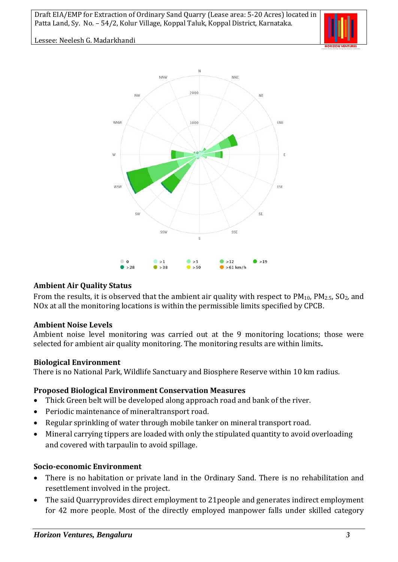

Lessee: Neelesh G. Madarkhandi



### **Ambient Air Quality Status**

From the results, it is observed that the ambient air quality with respect to  $PM_{10}$ ,  $PM_{2.5}$ ,  $SO_2$ , and NOx at all the monitoring locations is within the permissible limits specified by CPCB.

#### **Ambient Noise Levels**

Ambient noise level monitoring was carried out at the 9 monitoring locations; those were selected for ambient air quality monitoring. The monitoring results are within limits**.**

#### **Biological Environment**

There is no National Park, Wildlife Sanctuary and Biosphere Reserve within 10 km radius.

# **Proposed Biological Environment Conservation Measures**

- Thick Green belt will be developed along approach road and bank of the river.
- Periodic maintenance of mineraltransport road.
- Regular sprinkling of water through mobile tanker on mineral transport road.
- Mineral carrying tippers are loaded with only the stipulated quantity to avoid overloading and covered with tarpaulin to avoid spillage.

# **Socio-economic Environment**

- There is no habitation or private land in the Ordinary Sand. There is no rehabilitation and resettlement involved in the project.
- The said Quarryprovides direct employment to 21people and generates indirect employment for 42 more people. Most of the directly employed manpower falls under skilled category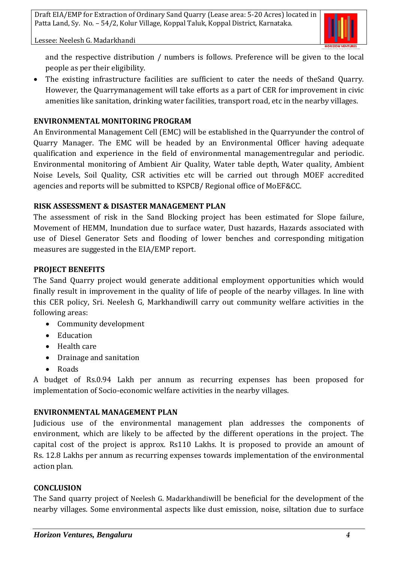

Lessee: Neelesh G. Madarkhandi

and the respective distribution / numbers is follows. Preference will be given to the local people as per their eligibility.

• The existing infrastructure facilities are sufficient to cater the needs of theSand Quarry. However, the Quarrymanagement will take efforts as a part of CER for improvement in civic amenities like sanitation, drinking water facilities, transport road, etc in the nearby villages.

### **ENVIRONMENTAL MONITORING PROGRAM**

An Environmental Management Cell (EMC) will be established in the Quarryunder the control of Quarry Manager. The EMC will be headed by an Environmental Officer having adequate qualification and experience in the field of environmental managementregular and periodic. Environmental monitoring of Ambient Air Quality, Water table depth, Water quality, Ambient Noise Levels, Soil Quality, CSR activities etc will be carried out through MOEF accredited agencies and reports will be submitted to KSPCB/ Regional office of MoEF&CC.

#### **RISK ASSESSMENT & DISASTER MANAGEMENT PLAN**

The assessment of risk in the Sand Blocking project has been estimated for Slope failure, Movement of HEMM, Inundation due to surface water, Dust hazards, Hazards associated with use of Diesel Generator Sets and flooding of lower benches and corresponding mitigation measures are suggested in the EIA/EMP report.

# **PROJECT BENEFITS**

The Sand Quarry project would generate additional employment opportunities which would finally result in improvement in the quality of life of people of the nearby villages. In line with this CER policy, Sri. Neelesh G, Markhandiwill carry out community welfare activities in the following areas:

- Community development
- Education
- Health care
- Drainage and sanitation
- Roads

A budget of Rs.0.94 Lakh per annum as recurring expenses has been proposed for implementation of Socio-economic welfare activities in the nearby villages.

# **ENVIRONMENTAL MANAGEMENT PLAN**

Judicious use of the environmental management plan addresses the components of environment, which are likely to be affected by the different operations in the project. The capital cost of the project is approx. Rs110 Lakhs. It is proposed to provide an amount of Rs. 12.8 Lakhs per annum as recurring expenses towards implementation of the environmental action plan.

#### **CONCLUSION**

The Sand quarry project of Neelesh G. Madarkhandiwill be beneficial for the development of the nearby villages. Some environmental aspects like dust emission, noise, siltation due to surface